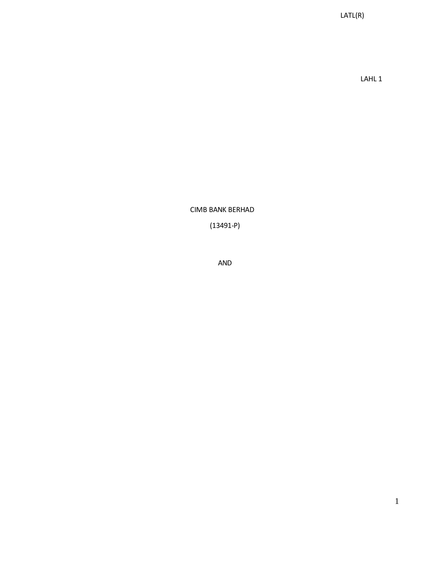LATL(R)

LAHL 1

CIMB BANK BERHAD

(13491-P)

AND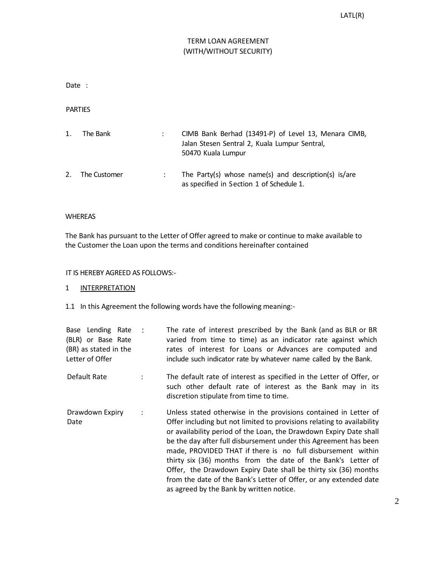# TERM LOAN AGREEMENT (WITH/WITHOUT SECURITY)

Date :

PARTIES

| 1. | The Bank     | CIMB Bank Berhad (13491-P) of Level 13, Menara CIMB,<br>Jalan Stesen Sentral 2, Kuala Lumpur Sentral,<br>50470 Kuala Lumpur |
|----|--------------|-----------------------------------------------------------------------------------------------------------------------------|
| 2. | The Customer | The Party(s) whose name(s) and description(s) is/are<br>as specified in Section 1 of Schedule 1.                            |

# WHEREAS

The Bank has pursuant to the Letter of Offer agreed to make or continue to make available to the Customer the Loan upon the terms and conditions hereinafter contained

## IT IS HEREBY AGREED AS FOLLOWS:-

# 1 INTERPRETATION

1.1 In this Agreement the following words have the following meaning:-

| Base Lending Rate<br>(BLR) or Base Rate<br>(BR) as stated in the<br>Letter of Offer |   | The rate of interest prescribed by the Bank (and as BLR or BR<br>varied from time to time) as an indicator rate against which<br>rates of interest for Loans or Advances are computed and<br>include such indicator rate by whatever name called by the Bank.                                                                                                                                                                                                                                                                                                                                           |
|-------------------------------------------------------------------------------------|---|---------------------------------------------------------------------------------------------------------------------------------------------------------------------------------------------------------------------------------------------------------------------------------------------------------------------------------------------------------------------------------------------------------------------------------------------------------------------------------------------------------------------------------------------------------------------------------------------------------|
| Default Rate                                                                        |   | The default rate of interest as specified in the Letter of Offer, or<br>such other default rate of interest as the Bank may in its<br>discretion stipulate from time to time.                                                                                                                                                                                                                                                                                                                                                                                                                           |
| Drawdown Expiry<br>Date                                                             | ÷ | Unless stated otherwise in the provisions contained in Letter of<br>Offer including but not limited to provisions relating to availability<br>or availability period of the Loan, the Drawdown Expiry Date shall<br>be the day after full disbursement under this Agreement has been<br>made, PROVIDED THAT if there is no full disbursement within<br>thirty six (36) months from the date of the Bank's Letter of<br>Offer, the Drawdown Expiry Date shall be thirty six (36) months<br>from the date of the Bank's Letter of Offer, or any extended date<br>as agreed by the Bank by written notice. |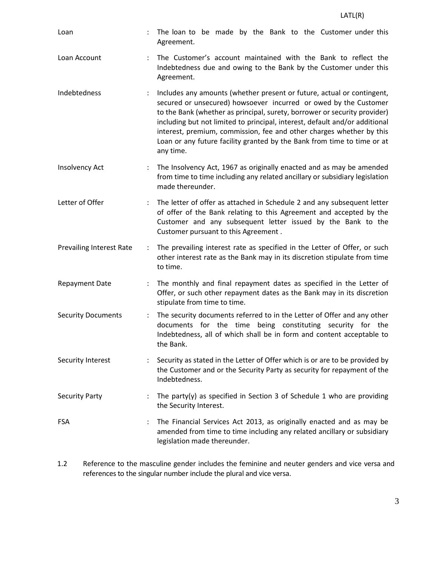| Loan                            | $\ddot{\cdot}$ | The loan to be made by the Bank to the Customer under this<br>Agreement.                                                                                                                                                                                                                                                                                                                                                                                               |
|---------------------------------|----------------|------------------------------------------------------------------------------------------------------------------------------------------------------------------------------------------------------------------------------------------------------------------------------------------------------------------------------------------------------------------------------------------------------------------------------------------------------------------------|
| Loan Account                    | $\ddot{\cdot}$ | The Customer's account maintained with the Bank to reflect the<br>Indebtedness due and owing to the Bank by the Customer under this<br>Agreement.                                                                                                                                                                                                                                                                                                                      |
| Indebtedness                    | $\ddot{\cdot}$ | Includes any amounts (whether present or future, actual or contingent,<br>secured or unsecured) howsoever incurred or owed by the Customer<br>to the Bank (whether as principal, surety, borrower or security provider)<br>including but not limited to principal, interest, default and/or additional<br>interest, premium, commission, fee and other charges whether by this<br>Loan or any future facility granted by the Bank from time to time or at<br>any time. |
| Insolvency Act                  |                | The Insolvency Act, 1967 as originally enacted and as may be amended<br>from time to time including any related ancillary or subsidiary legislation<br>made thereunder.                                                                                                                                                                                                                                                                                                |
| Letter of Offer                 | $\ddot{\cdot}$ | The letter of offer as attached in Schedule 2 and any subsequent letter<br>of offer of the Bank relating to this Agreement and accepted by the<br>Customer and any subsequent letter issued by the Bank to the<br>Customer pursuant to this Agreement.                                                                                                                                                                                                                 |
| <b>Prevailing Interest Rate</b> |                | The prevailing interest rate as specified in the Letter of Offer, or such<br>other interest rate as the Bank may in its discretion stipulate from time<br>to time.                                                                                                                                                                                                                                                                                                     |
| <b>Repayment Date</b>           | ÷              | The monthly and final repayment dates as specified in the Letter of<br>Offer, or such other repayment dates as the Bank may in its discretion<br>stipulate from time to time.                                                                                                                                                                                                                                                                                          |
| <b>Security Documents</b>       | $\ddot{\cdot}$ | The security documents referred to in the Letter of Offer and any other<br>documents for the time being constituting security for the<br>Indebtedness, all of which shall be in form and content acceptable to<br>the Bank.                                                                                                                                                                                                                                            |
| Security Interest               | ÷              | Security as stated in the Letter of Offer which is or are to be provided by<br>the Customer and or the Security Party as security for repayment of the<br>Indebtedness.                                                                                                                                                                                                                                                                                                |
| <b>Security Party</b>           | $\ddot{\cdot}$ | The party(y) as specified in Section 3 of Schedule 1 who are providing<br>the Security Interest.                                                                                                                                                                                                                                                                                                                                                                       |
| <b>FSA</b>                      |                | The Financial Services Act 2013, as originally enacted and as may be<br>amended from time to time including any related ancillary or subsidiary<br>legislation made thereunder.                                                                                                                                                                                                                                                                                        |

1.2 Reference to the masculine gender includes the feminine and neuter genders and vice versa and references to the singular number include the plural and vice versa.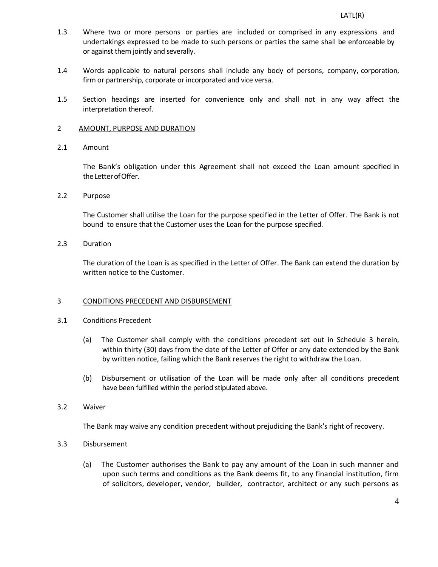- 1.3 Where two or more persons or parties are included or comprised in any expressions and undertakings expressed to be made to such persons or parties the same shall be enforceable by or against them jointly and severally.
- 1.4 Words applicable to natural persons shall include any body of persons, company, corporation, firm or partnership, corporate or incorporated and vice versa.
- 1.5 Section headings are inserted for convenience only and shall not in any way affect the interpretation thereof.

#### 2 AMOUNT, PURPOSE AND DURATION

2.1 Amount

The Bank's obligation under this Agreement shall not exceed the Loan amount specified in the Letter of Offer.

2.2 Purpose

The Customer shall utilise the Loan for the purpose specified in the Letter of Offer. The Bank is not bound to ensure that the Customer uses the Loan for the purpose specified.

2.3 Duration

The duration of the Loan is as specified in the Letter of Offer. The Bank can extend the duration by written notice to the Customer.

## 3 CONDITIONS PRECEDENT AND DISBURSEMENT

- 3.1 Conditions Precedent
	- (a) The Customer shall comply with the conditions precedent set out in Schedule 3 herein, within thirty (30) days from the date of the Letter of Offer or any date extended by the Bank by written notice, failing which the Bank reserves the right to withdraw the Loan.
	- (b) Disbursement or utilisation of the Loan will be made only after all conditions precedent have been fulfilled within the period stipulated above.
- 3.2 Waiver

The Bank may waive any condition precedent without prejudicing the Bank's right of recovery.

- 3.3 Disbursement
	- (a) The Customer authorises the Bank to pay any amount of the Loan in such manner and upon such terms and conditions as the Bank deems fit, to any financial institution, firm of solicitors, developer, vendor, builder, contractor, architect or any such persons as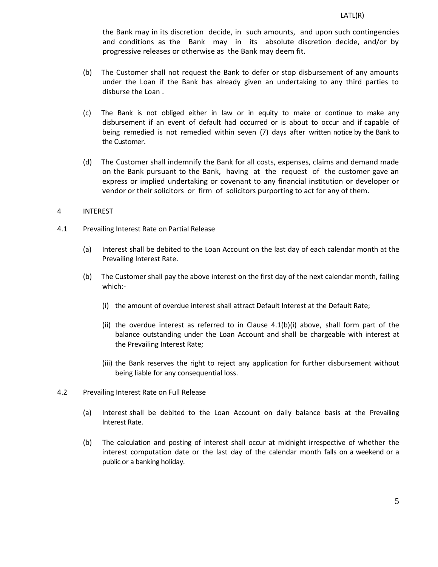the Bank may in its discretion decide, in such amounts, and upon such contingencies and conditions as the Bank may in its absolute discretion decide, and/or by progressive releases or otherwise as the Bank may deem fit.

- (b) The Customer shall not request the Bank to defer or stop disbursement of any amounts under the Loan if the Bank has already given an undertaking to any third parties to disburse the Loan .
- (c) The Bank is not obliged either in law or in equity to make or continue to make any disbursement if an event of default had occurred or is about to occur and if capable of being remedied is not remedied within seven (7) days after written notice by the Bank to the Customer.
- (d) The Customer shall indemnify the Bank for all costs, expenses, claims and demand made on the Bank pursuant to the Bank, having at the request of the customer gave an express or implied undertaking or covenant to any financial institution or developer or vendor or their solicitors or firm of solicitors purporting to act for any of them.

## 4 INTEREST

- 4.1 Prevailing Interest Rate on Partial Release
	- (a) Interest shall be debited to the Loan Account on the last day of each calendar month at the Prevailing Interest Rate.
	- (b) The Customer shall pay the above interest on the first day of the next calendar month, failing which:-
		- (i) the amount of overdue interest shall attract Default Interest at the Default Rate;
		- (ii) the overdue interest as referred to in Clause  $4.1(b)(i)$  above, shall form part of the balance outstanding under the Loan Account and shall be chargeable with interest at the Prevailing Interest Rate;
		- (iii) the Bank reserves the right to reject any application for further disbursement without being liable for any consequential loss.
- 4.2 Prevailing Interest Rate on Full Release
	- (a) Interest shall be debited to the Loan Account on daily balance basis at the Prevailing Interest Rate.
	- (b) The calculation and posting of interest shall occur at midnight irrespective of whether the interest computation date or the last day of the calendar month falls on a weekend or a public or a banking holiday.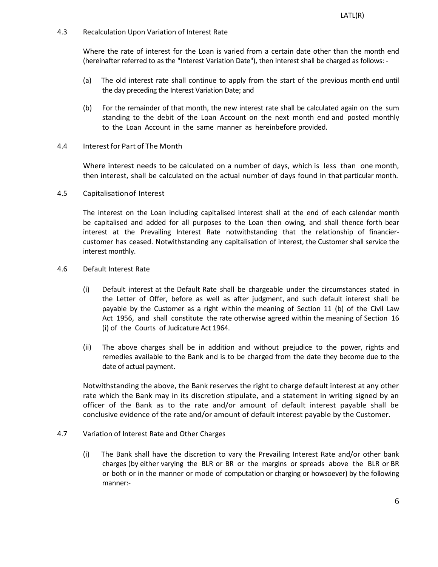4.3 Recalculation Upon Variation of Interest Rate

Where the rate of interest for the Loan is varied from a certain date other than the month end (hereinafter referred to as the "Interest Variation Date"), then interest shall be charged as follows: -

- (a) The old interest rate shall continue to apply from the start of the previous month end until the day preceding the Interest Variation Date; and
- (b) For the remainder of that month, the new interest rate shall be calculated again on the sum standing to the debit of the Loan Account on the next month end and posted monthly to the Loan Account in the same manner as hereinbefore provided.
- 4.4 Interestfor Part of The Month

Where interest needs to be calculated on a number of days, which is less than one month, then interest, shall be calculated on the actual number of days found in that particular month.

4.5 Capitalisationof Interest

The interest on the Loan including capitalised interest shall at the end of each calendar month be capitalised and added for all purposes to the Loan then owing, and shall thence forth bear interest at the Prevailing Interest Rate notwithstanding that the relationship of financiercustomer has ceased. Notwithstanding any capitalisation of interest, the Customer shall service the interest monthly.

- 4.6 Default Interest Rate
	- (i) Default interest at the Default Rate shall be chargeable under the circumstances stated in the Letter of Offer, before as well as after judgment, and such default interest shall be payable by the Customer as a right within the meaning of Section 11 (b) of the Civil Law Act 1956, and shall constitute the rate otherwise agreed within the meaning of Section 16 (i) of the Courts of Judicature Act 1964.
	- (ii) The above charges shall be in addition and without prejudice to the power, rights and remedies available to the Bank and is to be charged from the date they become due to the date of actual payment.

Notwithstanding the above, the Bank reserves the right to charge default interest at any other rate which the Bank may in its discretion stipulate, and a statement in writing signed by an officer of the Bank as to the rate and/or amount of default interest payable shall be conclusive evidence of the rate and/or amount of default interest payable by the Customer.

- 4.7 Variation of Interest Rate and Other Charges
	- (i) The Bank shall have the discretion to vary the Prevailing Interest Rate and/or other bank charges (by either varying the BLR or BR or the margins or spreads above the BLR or BR or both or in the manner or mode of computation or charging or howsoever) by the following manner:-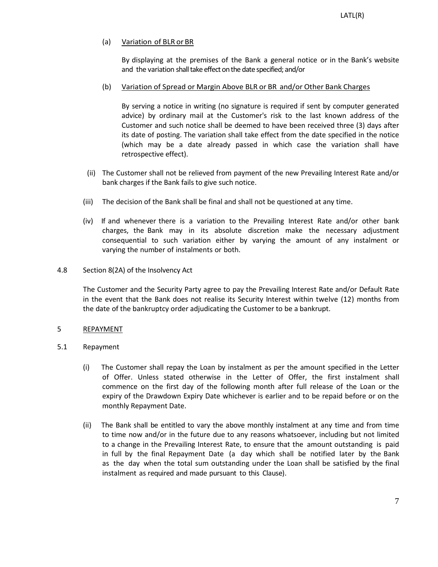# (a) Variation of BLR or BR

By displaying at the premises of the Bank a general notice or in the Bank's website and the variation shall take effect on the date specified; and/or

# (b) Variation of Spread or Margin Above BLR or BR and/or Other Bank Charges

By serving a notice in writing (no signature is required if sent by computer generated advice) by ordinary mail at the Customer's risk to the last known address of the Customer and such notice shall be deemed to have been received three (3) days after its date of posting. The variation shall take effect from the date specified in the notice (which may be a date already passed in which case the variation shall have retrospective effect).

- (ii) The Customer shall not be relieved from payment of the new Prevailing Interest Rate and/or bank charges if the Bank fails to give such notice.
- (iii) The decision of the Bank shall be final and shall not be questioned at any time.
- (iv) If and whenever there is a variation to the Prevailing Interest Rate and/or other bank charges, the Bank may in its absolute discretion make the necessary adjustment consequential to such variation either by varying the amount of any instalment or varying the number of instalments or both.
- 4.8 Section 8(2A) of the Insolvency Act

The Customer and the Security Party agree to pay the Prevailing Interest Rate and/or Default Rate in the event that the Bank does not realise its Security Interest within twelve (12) months from the date of the bankruptcy order adjudicating the Customer to be a bankrupt.

# 5 REPAYMENT

- 5.1 Repayment
	- (i) The Customer shall repay the Loan by instalment as per the amount specified in the Letter of Offer. Unless stated otherwise in the Letter of Offer, the first instalment shall commence on the first day of the following month after full release of the Loan or the expiry of the Drawdown Expiry Date whichever is earlier and to be repaid before or on the monthly Repayment Date.
	- (ii) The Bank shall be entitled to vary the above monthly instalment at any time and from time to time now and/or in the future due to any reasons whatsoever, including but not limited to a change in the Prevailing Interest Rate, to ensure that the amount outstanding is paid in full by the final Repayment Date (a day which shall be notified later by the Bank as the day when the total sum outstanding under the Loan shall be satisfied by the final instalment as required and made pursuant to this Clause).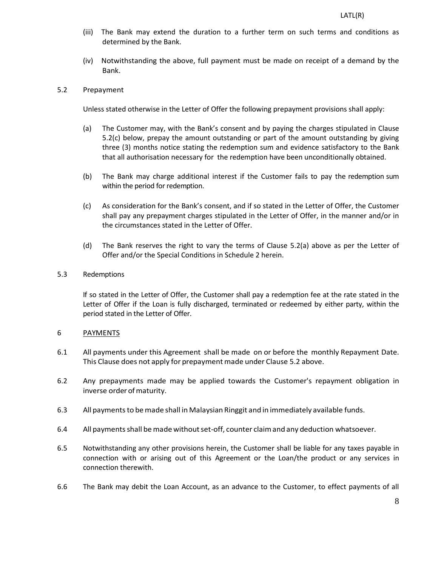- (iii) The Bank may extend the duration to a further term on such terms and conditions as determined by the Bank.
- (iv) Notwithstanding the above, full payment must be made on receipt of a demand by the Bank.

# 5.2 Prepayment

Unless stated otherwise in the Letter of Offer the following prepayment provisions shall apply:

- (a) The Customer may, with the Bank's consent and by paying the charges stipulated in Clause 5.2(c) below, prepay the amount outstanding or part of the amount outstanding by giving three (3) months notice stating the redemption sum and evidence satisfactory to the Bank that all authorisation necessary for the redemption have been unconditionally obtained.
- (b) The Bank may charge additional interest if the Customer fails to pay the redemption sum within the period for redemption.
- (c) As consideration for the Bank's consent, and if so stated in the Letter of Offer, the Customer shall pay any prepayment charges stipulated in the Letter of Offer, in the manner and/or in the circumstances stated in the Letter of Offer.
- (d) The Bank reserves the right to vary the terms of Clause 5.2(a) above as per the Letter of Offer and/or the Special Conditions in Schedule 2 herein.

## 5.3 Redemptions

If so stated in the Letter of Offer, the Customer shall pay a redemption fee at the rate stated in the Letter of Offer if the Loan is fully discharged, terminated or redeemed by either party, within the period stated in the Letter of Offer.

## 6 PAYMENTS

- 6.1 All payments under this Agreement shall be made on or before the monthly Repayment Date. This Clause does not apply for prepayment made under Clause 5.2 above.
- 6.2 Any prepayments made may be applied towards the Customer's repayment obligation in inverse order of maturity.
- 6.3 All paymentsto bemade shall in Malaysian Ringgit and in immediately available funds.
- 6.4 All payments shall be made without set-off, counter claim and any deduction whatsoever.
- 6.5 Notwithstanding any other provisions herein, the Customer shall be liable for any taxes payable in connection with or arising out of this Agreement or the Loan/the product or any services in connection therewith.
- 6.6 The Bank may debit the Loan Account, as an advance to the Customer, to effect payments of all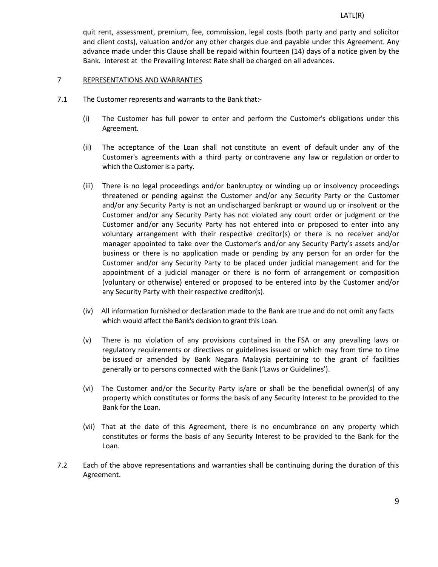quit rent, assessment, premium, fee, commission, legal costs (both party and party and solicitor and client costs), valuation and/or any other charges due and payable under this Agreement. Any advance made under this Clause shall be repaid within fourteen (14) days of a notice given by the Bank. Interest at the Prevailing Interest Rate shall be charged on all advances.

#### 7 REPRESENTATIONS AND WARRANTIES

- 7.1 The Customer represents and warrants to the Bank that:-
	- (i) The Customer has full power to enter and perform the Customer's obligations under this Agreement.
	- (ii) The acceptance of the Loan shall not constitute an event of default under any of the Customer's agreements with a third party or contravene any law or regulation or orderto which the Customer is a party.
	- (iii) There is no legal proceedings and/or bankruptcy or winding up or insolvency proceedings threatened or pending against the Customer and/or any Security Party or the Customer and/or any Security Party is not an undischarged bankrupt or wound up or insolvent or the Customer and/or any Security Party has not violated any court order or judgment or the Customer and/or any Security Party has not entered into or proposed to enter into any voluntary arrangement with their respective creditor(s) or there is no receiver and/or manager appointed to take over the Customer's and/or any Security Party's assets and/or business or there is no application made or pending by any person for an order for the Customer and/or any Security Party to be placed under judicial management and for the appointment of a judicial manager or there is no form of arrangement or composition (voluntary or otherwise) entered or proposed to be entered into by the Customer and/or any Security Party with their respective creditor(s).
	- (iv) All information furnished or declaration made to the Bank are true and do not omit any facts which would affect the Bank's decision to grant this Loan.
	- (v) There is no violation of any provisions contained in the FSA or any prevailing laws or regulatory requirements or directives or guidelines issued or which may from time to time be issued or amended by Bank Negara Malaysia pertaining to the grant of facilities generally or to persons connected with the Bank ('Laws or Guidelines').
	- (vi) The Customer and/or the Security Party is/are or shall be the beneficial owner(s) of any property which constitutes or forms the basis of any Security Interest to be provided to the Bank for the Loan.
	- (vii) That at the date of this Agreement, there is no encumbrance on any property which constitutes or forms the basis of any Security Interest to be provided to the Bank for the Loan.
- 7.2 Each of the above representations and warranties shall be continuing during the duration of this Agreement.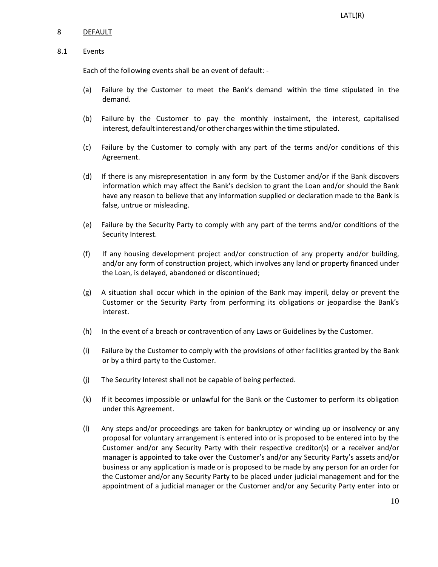## 8 DEFAULT

#### 8.1 Events

Each of the following events shall be an event of default: -

- (a) Failure by the Customer to meet the Bank's demand within the time stipulated in the demand.
- (b) Failure by the Customer to pay the monthly instalment, the interest, capitalised interest, default interest and/or other charges within the time stipulated.
- (c) Failure by the Customer to comply with any part of the terms and/or conditions of this Agreement.
- (d) If there is any misrepresentation in any form by the Customer and/or if the Bank discovers information which may affect the Bank's decision to grant the Loan and/or should the Bank have any reason to believe that any information supplied or declaration made to the Bank is false, untrue or misleading.
- (e) Failure by the Security Party to comply with any part of the terms and/or conditions of the Security Interest.
- (f) If any housing development project and/or construction of any property and/or building, and/or any form of construction project, which involves any land or property financed under the Loan, is delayed, abandoned or discontinued;
- (g) A situation shall occur which in the opinion of the Bank may imperil, delay or prevent the Customer or the Security Party from performing its obligations or jeopardise the Bank's interest.
- (h) In the event of a breach or contravention of any Laws or Guidelines by the Customer.
- (i) Failure by the Customer to comply with the provisions of other facilities granted by the Bank or by a third party to the Customer.
- (j) The Security Interest shall not be capable of being perfected.
- (k) If it becomes impossible or unlawful for the Bank or the Customer to perform its obligation under this Agreement.
- (l) Any steps and/or proceedings are taken for bankruptcy or winding up or insolvency or any proposal for voluntary arrangement is entered into or is proposed to be entered into by the Customer and/or any Security Party with their respective creditor(s) or a receiver and/or manager is appointed to take over the Customer's and/or any Security Party's assets and/or business or any application is made or is proposed to be made by any person for an order for the Customer and/or any Security Party to be placed under judicial management and for the appointment of a judicial manager or the Customer and/or any Security Party enter into or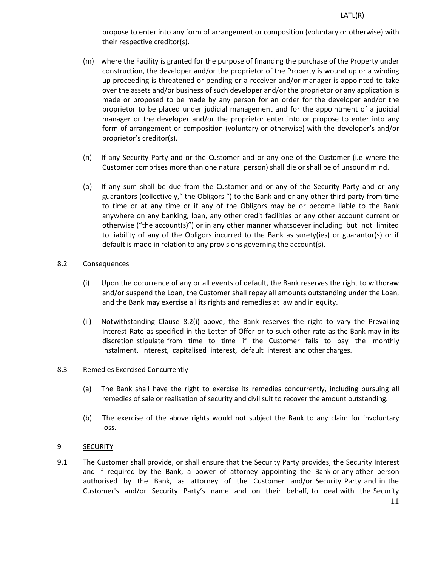propose to enter into any form of arrangement or composition (voluntary or otherwise) with their respective creditor(s).

- (m) where the Facility is granted for the purpose of financing the purchase of the Property under construction, the developer and/or the proprietor of the Property is wound up or a winding up proceeding is threatened or pending or a receiver and/or manager is appointed to take over the assets and/or business of such developer and/or the proprietor or any application is made or proposed to be made by any person for an order for the developer and/or the proprietor to be placed under judicial management and for the appointment of a judicial manager or the developer and/or the proprietor enter into or propose to enter into any form of arrangement or composition (voluntary or otherwise) with the developer's and/or proprietor's creditor(s).
- (n) If any Security Party and or the Customer and or any one of the Customer (i.e where the Customer comprises more than one natural person) shall die or shall be of unsound mind.
- (o) If any sum shall be due from the Customer and or any of the Security Party and or any guarantors (collectively," the Obligors ") to the Bank and or any other third party from time to time or at any time or if any of the Obligors may be or become liable to the Bank anywhere on any banking, loan, any other credit facilities or any other account current or otherwise ("the account(s)") or in any other manner whatsoever including but not limited to liability of any of the Obligors incurred to the Bank as surety(ies) or guarantor(s) or if default is made in relation to any provisions governing the account(s).

# 8.2 Consequences

- (i) Upon the occurrence of any or all events of default, the Bank reserves the right to withdraw and/or suspend the Loan, the Customer shall repay all amounts outstanding under the Loan, and the Bank may exercise all its rights and remedies at law and in equity.
- (ii) Notwithstanding Clause 8.2(i) above, the Bank reserves the right to vary the Prevailing Interest Rate as specified in the Letter of Offer or to such other rate as the Bank may in its discretion stipulate from time to time if the Customer fails to pay the monthly instalment, interest, capitalised interest, default interest and other charges.

## 8.3 Remedies Exercised Concurrently

- (a) The Bank shall have the right to exercise its remedies concurrently, including pursuing all remedies of sale or realisation of security and civil suit to recover the amount outstanding.
- (b) The exercise of the above rights would not subject the Bank to any claim for involuntary loss.

# 9 SECURITY

9.1 The Customer shall provide, or shall ensure that the Security Party provides, the Security Interest and if required by the Bank, a power of attorney appointing the Bank or any other person authorised by the Bank, as attorney of the Customer and/or Security Party and in the Customer's and/or Security Party's name and on their behalf, to deal with the Security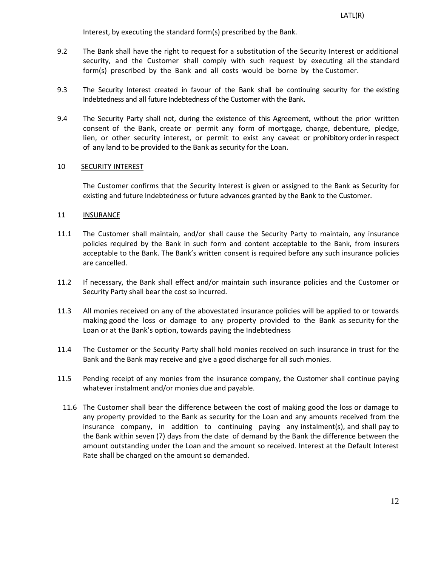Interest, by executing the standard form(s) prescribed by the Bank.

- 9.2 The Bank shall have the right to request for a substitution of the Security Interest or additional security, and the Customer shall comply with such request by executing all the standard form(s) prescribed by the Bank and all costs would be borne by the Customer.
- 9.3 The Security Interest created in favour of the Bank shall be continuing security for the existing Indebtedness and all future Indebtedness of the Customer with the Bank.
- 9.4 The Security Party shall not, during the existence of this Agreement, without the prior written consent of the Bank, create or permit any form of mortgage, charge, debenture, pledge, lien, or other security interest, or permit to exist any caveat or prohibitory orderin respect of any land to be provided to the Bank as security for the Loan.

# 10 SECURITY INTEREST

The Customer confirms that the Security Interest is given or assigned to the Bank as Security for existing and future Indebtedness or future advances granted by the Bank to the Customer.

# 11 INSURANCE

- 11.1 The Customer shall maintain, and/or shall cause the Security Party to maintain, any insurance policies required by the Bank in such form and content acceptable to the Bank, from insurers acceptable to the Bank. The Bank's written consent is required before any such insurance policies are cancelled.
- 11.2 If necessary, the Bank shall effect and/or maintain such insurance policies and the Customer or Security Party shall bear the cost so incurred.
- 11.3 All monies received on any of the abovestated insurance policies will be applied to or towards making good the loss or damage to any property provided to the Bank as security for the Loan or at the Bank's option, towards paying the Indebtedness
- 11.4 The Customer or the Security Party shall hold monies received on such insurance in trust for the Bank and the Bank may receive and give a good discharge for all such monies.
- 11.5 Pending receipt of any monies from the insurance company, the Customer shall continue paying whatever instalment and/or monies due and payable.
	- 11.6 The Customer shall bear the difference between the cost of making good the loss or damage to any property provided to the Bank as security for the Loan and any amounts received from the insurance company, in addition to continuing paying any instalment(s), and shall pay to the Bank within seven (7) days from the date of demand by the Bank the difference between the amount outstanding under the Loan and the amount so received. Interest at the Default Interest Rate shall be charged on the amount so demanded.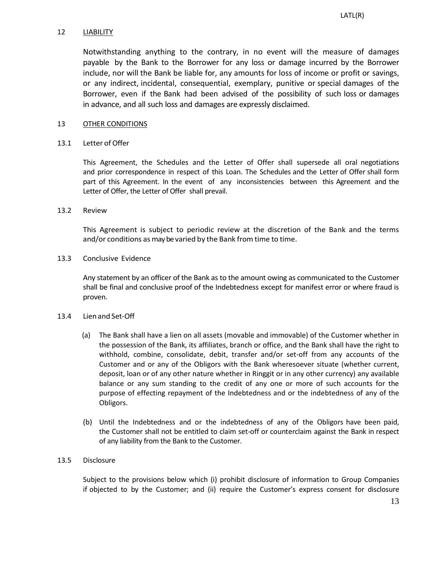## 12 LIABILITY

Notwithstanding anything to the contrary, in no event will the measure of damages payable by the Bank to the Borrower for any loss or damage incurred by the Borrower include, nor will the Bank be liable for, any amounts for loss of income or profit or savings, or any indirect, incidental, consequential, exemplary, punitive or special damages of the Borrower, even if the Bank had been advised of the possibility of such loss or damages in advance, and all such loss and damages are expressly disclaimed.

# 13 OTHER CONDITIONS

# 13.1 Letter of Offer

This Agreement, the Schedules and the Letter of Offer shall supersede all oral negotiations and prior correspondence in respect of this Loan. The Schedules and the Letter of Offer shall form part of this Agreement. In the event of any inconsistencies between this Agreement and the Letter of Offer, the Letter of Offer shall prevail.

# 13.2 Review

This Agreement is subject to periodic review at the discretion of the Bank and the terms and/or conditions as may be varied by the Bank from time to time.

# 13.3 Conclusive Evidence

Any statement by an officer of the Bank as to the amount owing as communicated to the Customer shall be final and conclusive proof of the Indebtedness except for manifest error or where fraud is proven.

## 13.4 Lien and Set-Off

- (a) The Bank shall have a lien on all assets (movable and immovable) of the Customer whether in the possession of the Bank, its affiliates, branch or office, and the Bank shall have the right to withhold, combine, consolidate, debit, transfer and/or set-off from any accounts of the Customer and or any of the Obligors with the Bank wheresoever situate (whether current, deposit, loan or of any other nature whether in Ringgit or in any other currency) any available balance or any sum standing to the credit of any one or more of such accounts for the purpose of effecting repayment of the Indebtedness and or the indebtedness of any of the Obligors.
- (b) Until the Indebtedness and or the indebtedness of any of the Obligors have been paid, the Customer shall not be entitled to claim set-off or counterclaim against the Bank in respect of any liability from the Bank to the Customer.

# 13.5 Disclosure

Subject to the provisions below which (i) prohibit disclosure of information to Group Companies if objected to by the Customer; and (ii) require the Customer's express consent for disclosure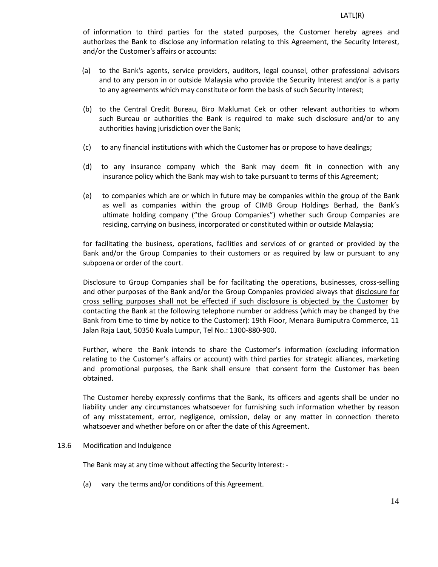of information to third parties for the stated purposes, the Customer hereby agrees and authorizes the Bank to disclose any information relating to this Agreement, the Security Interest, and/or the Customer's affairs or accounts:

- (a) to the Bank's agents, service providers, auditors, legal counsel, other professional advisors and to any person in or outside Malaysia who provide the Security Interest and/or is a party to any agreements which may constitute or form the basis of such Security Interest;
- (b) to the Central Credit Bureau, Biro Maklumat Cek or other relevant authorities to whom such Bureau or authorities the Bank is required to make such disclosure and/or to any authorities having jurisdiction over the Bank;
- (c) to any financial institutions with which the Customer has or propose to have dealings;
- (d) to any insurance company which the Bank may deem fit in connection with any insurance policy which the Bank may wish to take pursuant to terms of this Agreement;
- (e) to companies which are or which in future may be companies within the group of the Bank as well as companies within the group of CIMB Group Holdings Berhad, the Bank's ultimate holding company ("the Group Companies") whether such Group Companies are residing, carrying on business, incorporated or constituted within or outside Malaysia;

for facilitating the business, operations, facilities and services of or granted or provided by the Bank and/or the Group Companies to their customers or as required by law or pursuant to any subpoena or order of the court.

Disclosure to Group Companies shall be for facilitating the operations, businesses, cross-selling and other purposes of the Bank and/or the Group Companies provided always that disclosure for cross selling purposes shall not be effected if such disclosure is objected by the Customer by contacting the Bank at the following telephone number or address (which may be changed by the Bank from time to time by notice to the Customer): 19th Floor, Menara Bumiputra Commerce, 11 Jalan Raja Laut, 50350 Kuala Lumpur, Tel No.: 1300-880-900.

Further, where the Bank intends to share the Customer's information (excluding information relating to the Customer's affairs or account) with third parties for strategic alliances, marketing and promotional purposes, the Bank shall ensure that consent form the Customer has been obtained.

The Customer hereby expressly confirms that the Bank, its officers and agents shall be under no liability under any circumstances whatsoever for furnishing such information whether by reason of any misstatement, error, negligence, omission, delay or any matter in connection thereto whatsoever and whether before on or after the date of this Agreement.

## 13.6 Modification and Indulgence

The Bank may at any time without affecting the Security Interest: -

(a) vary the terms and/or conditions of this Agreement.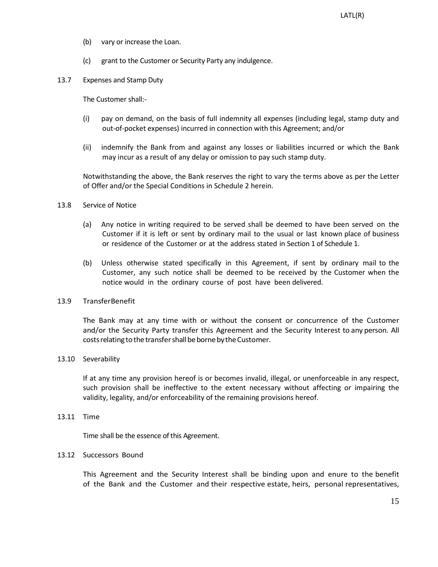- (b) vary or increase the Loan.
- (c) grant to the Customer or Security Party any indulgence.
- 13.7 Expenses and Stamp Duty

The Customer shall:-

- (i) pay on demand, on the basis of full indemnity all expenses (including legal, stamp duty and out-of-pocket expenses) incurred in connection with this Agreement; and/or
- (ii) indemnify the Bank from and against any losses or liabilities incurred or which the Bank may incur as a result of any delay or omission to pay such stamp duty.

Notwithstanding the above, the Bank reserves the right to vary the terms above as per the Letter of Offer and/or the Special Conditions in Schedule 2 herein.

- 13.8 Service of Notice
	- (a) Any notice in writing required to be served shall be deemed to have been served on the Customer if it is left or sent by ordinary mail to the usual or last known place of business or residence of the Customer or at the address stated in Section 1 of Schedule 1.
	- (b) Unless otherwise stated specifically in this Agreement, if sent by ordinary mail to the Customer, any such notice shall be deemed to be received by the Customer when the notice would in the ordinary course of post have been delivered.

## 13.9 TransferBenefit

The Bank may at any time with or without the consent or concurrence of the Customer and/or the Security Party transfer this Agreement and the Security Interest to any person. All costs relating to the transfer shall be borne by the Customer.

13.10 Severability

If at any time any provision hereof is or becomes invalid, illegal, or unenforceable in any respect, such provision shall be ineffective to the extent necessary without affecting or impairing the validity, legality, and/or enforceability of the remaining provisions hereof.

13.11 Time

Time shall be the essence of this Agreement.

## 13.12 Successors Bound

This Agreement and the Security Interest shall be binding upon and enure to the benefit of the Bank and the Customer and their respective estate, heirs, personal representatives,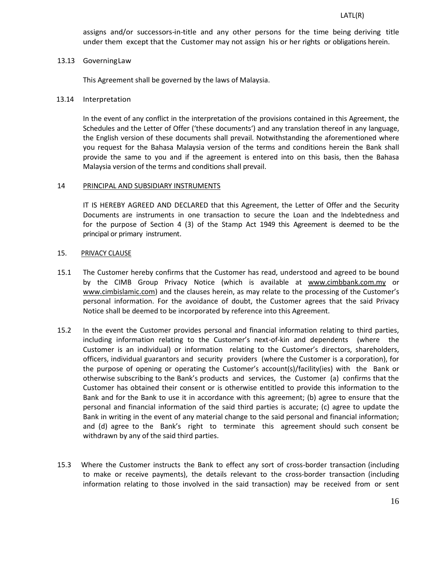assigns and/or successors-in-title and any other persons for the time being deriving title under them except that the Customer may not assign his or her rights or obligations herein.

#### 13.13 GoverningLaw

This Agreement shall be governed by the laws of Malaysia.

#### 13.14 Interpretation

In the event of any conflict in the interpretation of the provisions contained in this Agreement, the Schedules and the Letter of Offer ('these documents') and any translation thereof in any language, the English version of these documents shall prevail. Notwithstanding the aforementioned where you request for the Bahasa Malaysia version of the terms and conditions herein the Bank shall provide the same to you and if the agreement is entered into on this basis, then the Bahasa Malaysia version of the terms and conditions shall prevail.

#### 14 PRINCIPAL AND SUBSIDIARY INSTRUMENTS

IT IS HEREBY AGREED AND DECLARED that this Agreement, the Letter of Offer and the Security Documents are instruments in one transaction to secure the Loan and the Indebtedness and for the purpose of Section 4 (3) of the Stamp Act 1949 this Agreement is deemed to be the principal or primary instrument.

#### 15. PRIVACY CLAUSE

- 15.1 The Customer hereby confirms that the Customer has read, understood and agreed to be bound by the CIMB Group Privacy Notice (which is available at www.cimbbank.com.my or www.cimbislamic.com) and the clauses herein, as may relate to the processing of the Customer's personal information. For the avoidance of doubt, the Customer agrees that the said Privacy Notice shall be deemed to be incorporated by reference into this Agreement.
- 15.2 In the event the Customer provides personal and financial information relating to third parties, including information relating to the Customer's next-of-kin and dependents (where the Customer is an individual) or information relating to the Customer's directors, shareholders, officers, individual guarantors and security providers (where the Customer is a corporation), for the purpose of opening or operating the Customer's account(s)/facility(ies) with the Bank or otherwise subscribing to the Bank's products and services, the Customer (a) confirms that the Customer has obtained their consent or is otherwise entitled to provide this information to the Bank and for the Bank to use it in accordance with this agreement; (b) agree to ensure that the personal and financial information of the said third parties is accurate; (c) agree to update the Bank in writing in the event of any material change to the said personal and financial information; and (d) agree to the Bank's right to terminate this agreement should such consent be withdrawn by any of the said third parties.
- 15.3 Where the Customer instructs the Bank to effect any sort of cross-border transaction (including to make or receive payments), the details relevant to the cross-border transaction (including information relating to those involved in the said transaction) may be received from or sent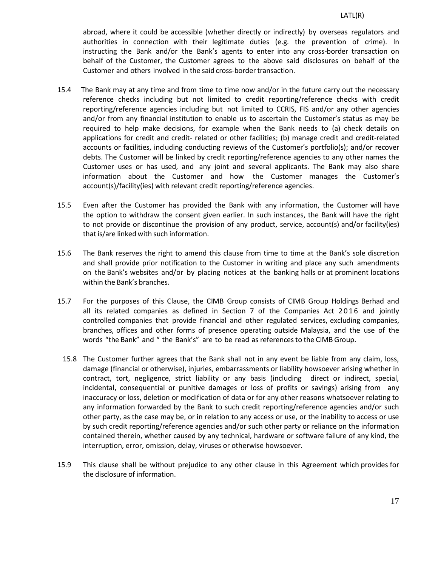abroad, where it could be accessible (whether directly or indirectly) by overseas regulators and authorities in connection with their legitimate duties (e.g. the prevention of crime). In instructing the Bank and/or the Bank's agents to enter into any cross-border transaction on behalf of the Customer, the Customer agrees to the above said disclosures on behalf of the Customer and others involved in the said cross-border transaction.

- 15.4 The Bank may at any time and from time to time now and/or in the future carry out the necessary reference checks including but not limited to credit reporting/reference checks with credit reporting/reference agencies including but not limited to CCRIS, FIS and/or any other agencies and/or from any financial institution to enable us to ascertain the Customer's status as may be required to help make decisions, for example when the Bank needs to (a) check details on applications for credit and credit- related or other facilities; (b) manage credit and credit-related accounts or facilities, including conducting reviews of the Customer's portfolio(s); and/or recover debts. The Customer will be linked by credit reporting/reference agencies to any other names the Customer uses or has used, and any joint and several applicants. The Bank may also share information about the Customer and how the Customer manages the Customer's account(s)/facility(ies) with relevant credit reporting/reference agencies.
- 15.5 Even after the Customer has provided the Bank with any information, the Customer will have the option to withdraw the consent given earlier. In such instances, the Bank will have the right to not provide or discontinue the provision of any product, service, account(s) and/or facility(ies) that is/are linked with such information.
- 15.6 The Bank reserves the right to amend this clause from time to time at the Bank's sole discretion and shall provide prior notification to the Customer in writing and place any such amendments on the Bank's websites and/or by placing notices at the banking halls or at prominent locations within the Bank's branches.
- 15.7 For the purposes of this Clause, the CIMB Group consists of CIMB Group Holdings Berhad and all its related companies as defined in Section 7 of the Companies Act 2016 and jointly controlled companies that provide financial and other regulated services, excluding companies, branches, offices and other forms of presence operating outside Malaysia, and the use of the words "the Bank" and " the Bank's" are to be read as referencesto the CIMB Group.
	- 15.8 The Customer further agrees that the Bank shall not in any event be liable from any claim, loss, damage (financial or otherwise), injuries, embarrassments or liability howsoever arising whether in contract, tort, negligence, strict liability or any basis (including direct or indirect, special, incidental, consequential or punitive damages or loss of profits or savings) arising from any inaccuracy or loss, deletion or modification of data or for any other reasons whatsoever relating to any information forwarded by the Bank to such credit reporting/reference agencies and/or such other party, as the case may be, or in relation to any access or use, or the inability to access or use by such credit reporting/reference agencies and/or such other party or reliance on the information contained therein, whether caused by any technical, hardware or software failure of any kind, the interruption, error, omission, delay, viruses or otherwise howsoever.
- 15.9 This clause shall be without prejudice to any other clause in this Agreement which provides for the disclosure of information.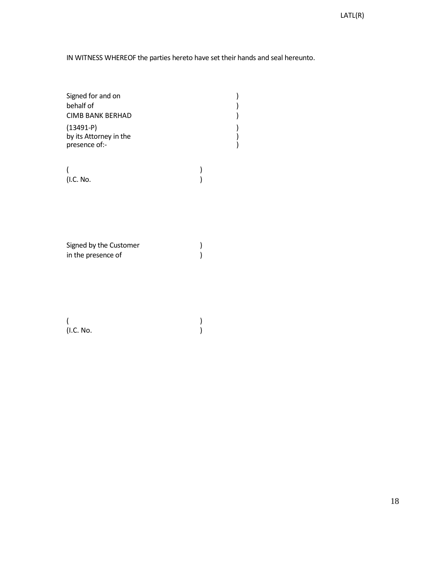IN WITNESS WHEREOF the parties hereto have set their hands and seal hereunto.

| Signed for and on<br>behalf of                         |  |
|--------------------------------------------------------|--|
| <b>CIMB BANK BERHAD</b>                                |  |
| $(13491-P)$<br>by its Attorney in the<br>presence of:- |  |

(and  $\overline{\phantom{a}}$ ) (I.C. No. )

Signed by the Customer )<br>in the presence of ) in the presence of

 $($  $(L.C. No.$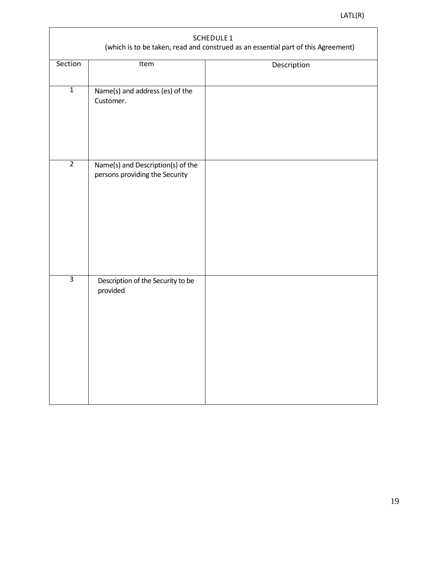| SCHEDULE 1<br>(which is to be taken, read and construed as an essential part of this Agreement) |                                                                     |             |  |  |  |  |  |
|-------------------------------------------------------------------------------------------------|---------------------------------------------------------------------|-------------|--|--|--|--|--|
| Section                                                                                         | Item                                                                | Description |  |  |  |  |  |
| $\overline{1}$                                                                                  | Name(s) and address (es) of the<br>Customer.                        |             |  |  |  |  |  |
| $\overline{2}$                                                                                  | Name(s) and Description(s) of the<br>persons providing the Security |             |  |  |  |  |  |
| $\overline{3}$                                                                                  | Description of the Security to be<br>provided                       |             |  |  |  |  |  |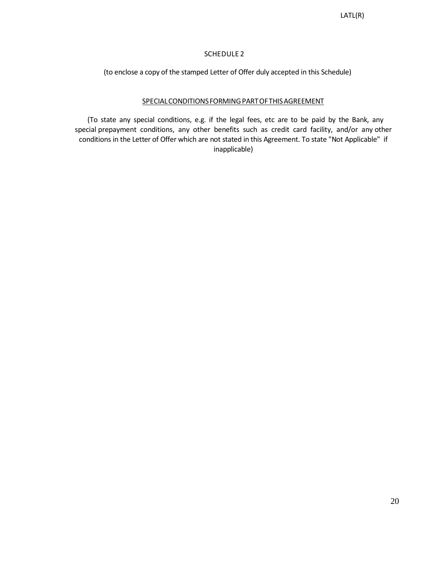# SCHEDULE 2

(to enclose a copy of the stamped Letter of Offer duly accepted in this Schedule)

# SPECIAL CONDITIONS FORMING PART OF THIS AGREEMENT

(To state any special conditions, e.g. if the legal fees, etc are to be paid by the Bank, any special prepayment conditions, any other benefits such as credit card facility, and/or any other conditions in the Letter of Offer which are not stated in this Agreement. To state "Not Applicable" if inapplicable)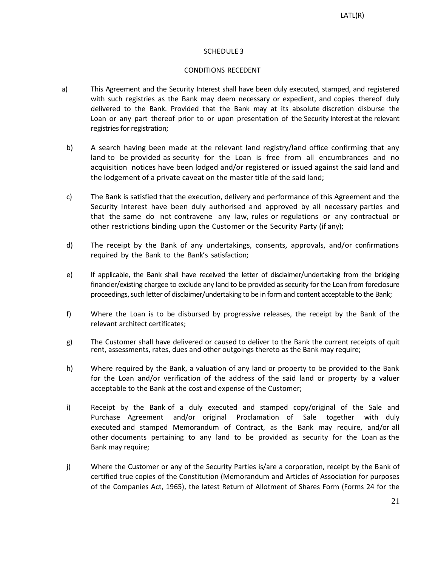# SCHEDULE 3

#### CONDITIONS RECEDENT

- a) This Agreement and the Security Interest shall have been duly executed, stamped, and registered with such registries as the Bank may deem necessary or expedient, and copies thereof duly delivered to the Bank. Provided that the Bank may at its absolute discretion disburse the Loan or any part thereof prior to or upon presentation of the Security Interest at the relevant registries for registration;
- b) A search having been made at the relevant land registry/land office confirming that any land to be provided as security for the Loan is free from all encumbrances and no acquisition notices have been lodged and/or registered or issued against the said land and the lodgement of a private caveat on the master title of the said land;
- c) The Bank is satisfied that the execution, delivery and performance of this Agreement and the Security Interest have been duly authorised and approved by all necessary parties and that the same do not contravene any law, rules or regulations or any contractual or other restrictions binding upon the Customer or the Security Party (if any);
- d) The receipt by the Bank of any undertakings, consents, approvals, and/or confirmations required by the Bank to the Bank's satisfaction;
- e) If applicable, the Bank shall have received the letter of disclaimer/undertaking from the bridging financier/existing chargee to exclude any land to be provided as security for the Loan from foreclosure proceedings, such letter of disclaimer/undertaking to be in form and content acceptable to the Bank;
- f) Where the Loan is to be disbursed by progressive releases, the receipt by the Bank of the relevant architect certificates;
- g) The Customer shall have delivered or caused to deliver to the Bank the current receipts of quit rent, assessments, rates, dues and other outgoings thereto as the Bank may require;
- h) Where required by the Bank, a valuation of any land or property to be provided to the Bank for the Loan and/or verification of the address of the said land or property by a valuer acceptable to the Bank at the cost and expense of the Customer;
- i) Receipt by the Bank of a duly executed and stamped copy/original of the Sale and Purchase Agreement and/or original Proclamation of Sale together with duly executed and stamped Memorandum of Contract, as the Bank may require, and/or all other documents pertaining to any land to be provided as security for the Loan as the Bank may require;
- j) Where the Customer or any of the Security Parties is/are a corporation, receipt by the Bank of certified true copies of the Constitution (Memorandum and Articles of Association for purposes of the Companies Act, 1965), the latest Return of Allotment of Shares Form (Forms 24 for the